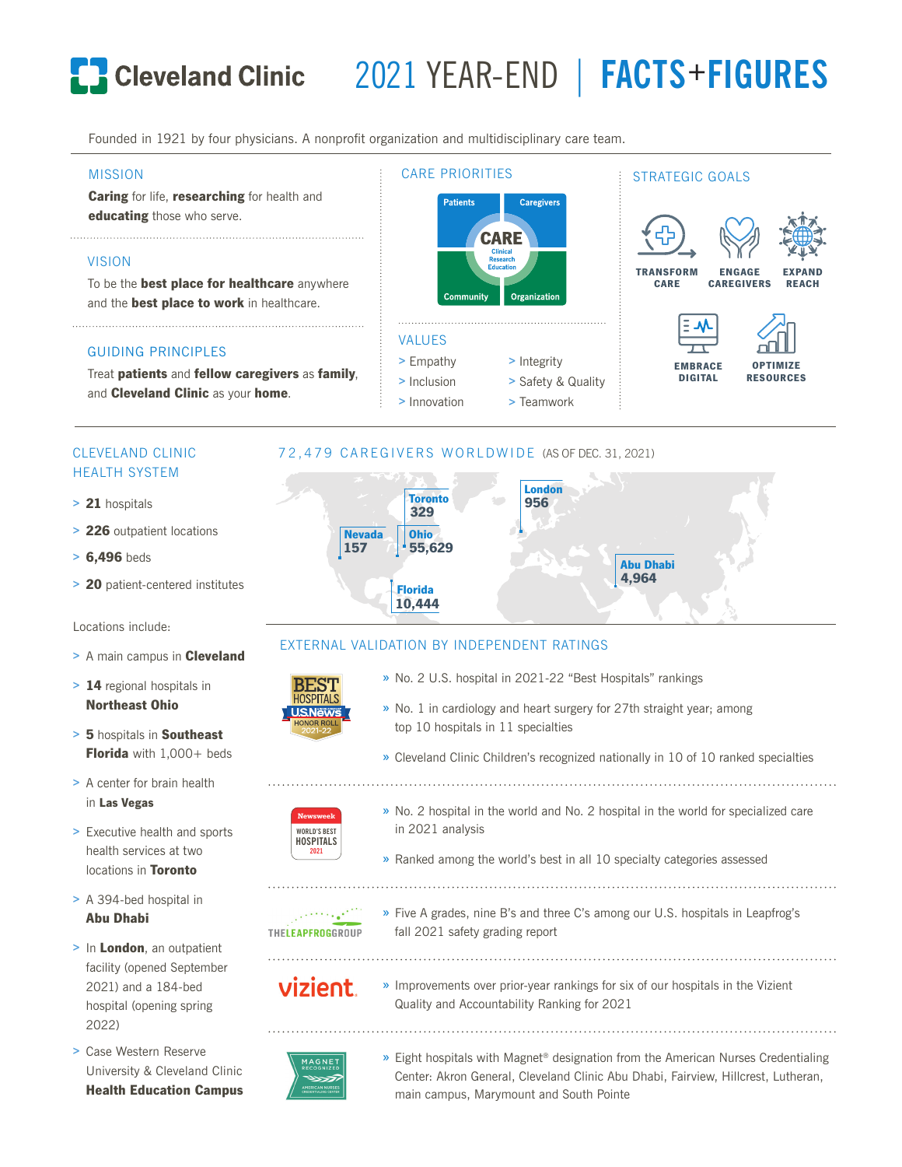# 2021 YEAR-END | **FACTS+FIGURES**

STRATEGIC GOALS

Founded in 1921 by four physicians. A nonprofit organization and multidisciplinary care team.

#### MISSION

Caring for life, researching for health and educating those who serve.

#### VISION

To be the **best place for healthcare** anywhere and the **best place to work** in healthcare.

#### GUIDING PRINCIPLES

Treat patients and fellow caregivers as family, and **Cleveland Clinic** as your home.

### CLEVELAND CLINIC HEALTH SYSTEM

- > 21 hospitals
- > 226 outpatient locations
- > 6,496 beds
- > 20 patient-centered institutes

Locations include:

- > A main campus in **Cleveland**
- > 14 regional hospitals in Northeast Ohio
- > 5 hospitals in Southeast Florida with 1,000+ beds
- > A center for brain health in Las Vegas
- > Executive health and sports health services at two locations in Toronto
- > A 394-bed hospital in Abu Dhabi
- > In London, an outpatient facility (opened September 2021) and a 184-bed hospital (opening spring 2022)
- > Case Western Reserve University & Cleveland Clinic Health Education Campus



**Caregivers** 



#### EXTERNAL VALIDATION BY INDEPENDENT RATINGS

CARE PRIORITIES

**Patients** 

- **BEST** » No. 2 U.S. hospital in 2021-22 "Best Hospitals" rankings
	- » No. 1 in cardiology and heart surgery for 27th straight year; among top 10 hospitals in 11 specialties
	- » Cleveland Clinic Children's recognized nationally in 10 of 10 ranked specialties
- **Newsweek WORLD'S BEST HOSPITALS 2021**
- » No. 2 hospital in the world and No. 2 hospital in the world for specialized care in 2021 analysis
- » Ranked among the world's best in all 10 specialty categories assessed

- THELEAPFROGGROUP
	- » Five A grades, nine B's and three C's among our U.S. hospitals in Leapfrog's fall 2021 safety grading report

- vizient.
- » Improvements over prior-year rankings for six of our hospitals in the Vizient Quality and Accountability Ranking for 2021



» Eight hospitals with Magnet® designation from the American Nurses Credentialing Center: Akron General, Cleveland Clinic Abu Dhabi, Fairview, Hillcrest, Lutheran, main campus, Marymount and South Pointe